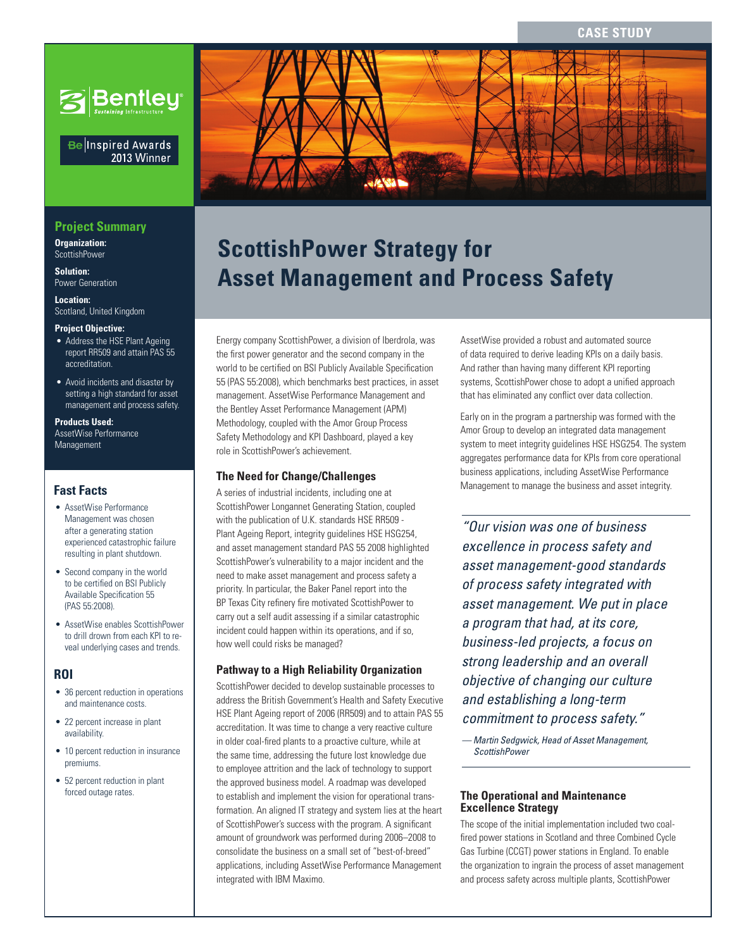**CASE STUDY**



### Be Inspired Awards 2013 Winner

# **Project Summary**

**Organization:**  ScottishPower

**Solution:**  Power Generation

**Location:**  Scotland, United Kingdom

#### **Project Objective:**

- Address the HSE Plant Ageing report RR509 and attain PAS 55 accreditation.
- Avoid incidents and disaster by setting a high standard for asset management and process safety.

#### **Products Used:**

AssetWise Performance Management

# **Fast Facts**

- AssetWise Performance Management was chosen after a generating station experienced catastrophic failure resulting in plant shutdown.
- Second company in the world to be certified on BSI Publicly Available Specification 55 (PAS 55:2008).
- AssetWise enables ScottishPower to drill drown from each KPI to reveal underlying cases and trends.

#### **ROI**

- 36 percent reduction in operations and maintenance costs.
- 22 percent increase in plant availability.
- 10 percent reduction in insurance premiums.
- 52 percent reduction in plant forced outage rates.



# **ScottishPower Strategy for Asset Management and Process Safety**

Energy company ScottishPower, a division of Iberdrola, was the first power generator and the second company in the world to be certified on BSI Publicly Available Specification 55 (PAS 55:2008), which benchmarks best practices, in asset management. AssetWise Performance Management and the Bentley Asset Performance Management (APM) Methodology, coupled with the Amor Group Process Safety Methodology and KPI Dashboard, played a key role in ScottishPower's achievement.

### **The Need for Change/Challenges**

A series of industrial incidents, including one at ScottishPower Longannet Generating Station, coupled with the publication of U.K. standards HSE RR509 - Plant Ageing Report, integrity guidelines HSE HSG254, and asset management standard PAS 55 2008 highlighted ScottishPower's vulnerability to a major incident and the need to make asset management and process safety a priority. In particular, the Baker Panel report into the BP Texas City refinery fire motivated ScottishPower to carry out a self audit assessing if a similar catastrophic incident could happen within its operations, and if so, how well could risks be managed?

# **Pathway to a High Reliability Organization**

ScottishPower decided to develop sustainable processes to address the British Government's Health and Safety Executive HSE Plant Ageing report of 2006 (RR509) and to attain PAS 55 accreditation. It was time to change a very reactive culture in older coal-fired plants to a proactive culture, while at the same time, addressing the future lost knowledge due to employee attrition and the lack of technology to support the approved business model. A roadmap was developed to establish and implement the vision for operational transformation. An aligned IT strategy and system lies at the heart of ScottishPower's success with the program. A significant amount of groundwork was performed during 2006–2008 to consolidate the business on a small set of "best-of-breed" applications, including AssetWise Performance Management integrated with IBM Maximo.

AssetWise provided a robust and automated source of data required to derive leading KPIs on a daily basis. And rather than having many different KPI reporting systems, ScottishPower chose to adopt a unified approach that has eliminated any conflict over data collection.

Early on in the program a partnership was formed with the Amor Group to develop an integrated data management system to meet integrity guidelines HSE HSG254. The system aggregates performance data for KPIs from core operational business applications, including AssetWise Performance Management to manage the business and asset integrity.

*"Our vision was one of business excellence in process safety and asset management-good standards of process safety integrated with asset management. We put in place a program that had, at its core, business-led projects, a focus on strong leadership and an overall objective of changing our culture and establishing a long-term commitment to process safety."*

*— Martin Sedgwick, Head of Asset Management, ScottishPower*

## **The Operational and Maintenance Excellence Strategy**

The scope of the initial implementation included two coalfired power stations in Scotland and three Combined Cycle Gas Turbine (CCGT) power stations in England. To enable the organization to ingrain the process of asset management and process safety across multiple plants, ScottishPower